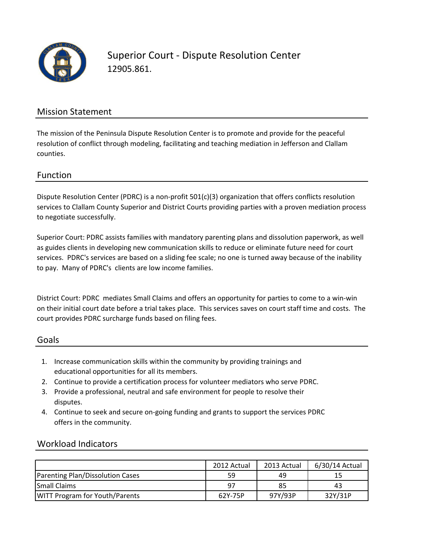

Superior Court - Dispute Resolution Center 12905.861.

### Mission Statement

The mission of the Peninsula Dispute Resolution Center is to promote and provide for the peaceful resolution of conflict through modeling, facilitating and teaching mediation in Jefferson and Clallam counties.

#### Function

Dispute Resolution Center (PDRC) is a non-profit 501(c)(3) organization that offers conflicts resolution services to Clallam County Superior and District Courts providing parties with a proven mediation process to negotiate successfully.

Superior Court: PDRC assists families with mandatory parenting plans and dissolution paperwork, as well as guides clients in developing new communication skills to reduce or eliminate future need for court services. PDRC's services are based on a sliding fee scale; no one is turned away because of the inability to pay. Many of PDRC's clients are low income families.

District Court: PDRC mediates Small Claims and offers an opportunity for parties to come to a win-win on their initial court date before a trial takes place. This services saves on court staff time and costs. The court provides PDRC surcharge funds based on filing fees.

#### Goals

- 1. Increase communication skills within the community by providing trainings and educational opportunities for all its members.
- 2. Continue to provide a certification process for volunteer mediators who serve PDRC.
- 3. Provide a professional, neutral and safe environment for people to resolve their disputes.
- 4. Continue to seek and secure on-going funding and grants to support the services PDRC offers in the community.

### Workload Indicators

|                                       | 2012 Actual | 2013 Actual | 6/30/14 Actual |
|---------------------------------------|-------------|-------------|----------------|
| Parenting Plan/Dissolution Cases      | 59          | 49          | 15             |
| <b>Small Claims</b>                   | 97          | 85          | 43             |
| <b>WITT Program for Youth/Parents</b> | 62Y-75P     | 97Y/93P     | 32Y/31P        |